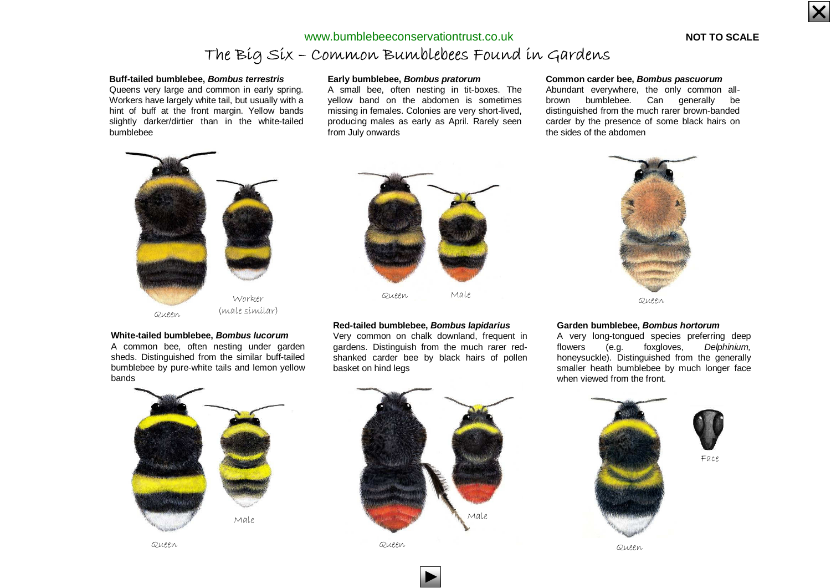

### **NOT TO SCALE**

## The Big Six – Common Bumblebees Found in Gardenswww.bumblebeeconservationtrust.co.uk

#### **Buff-tailed bumblebee, Bombus terrestris**

 Queens very large and common in early spring. Workers have largely white tail, but usually with a hint of buff at the front margin. Yellow bands slightly darker/dirtier than in the white-tailed bumblebee

#### **Early bumblebee, Bombus pratorum**

 A small bee, often nesting in tit-boxes. The yellow band on the abdomen is sometimes missing in females. Colonies are very short-lived, producing males as early as April. Rarely seen from July onwards

#### **Common carder bee, Bombus pascuorum**

 Abundant everywhere, the only common allbrown bumblebee. Can generally be distinguished from the much rarer brown-banded carder by the presence of some black hairs on the sides of the abdomen



#### **White-tailed bumblebee, Bombus lucorum**

 A common bee, often nesting under garden sheds. Distinguished from the similar buff-tailed bumblebee by pure-white tails and lemon yellow bands



#### **Red-tailed bumblebee, Bombus lapidarius**

 Very common on chalk downland, frequent in gardens. Distinguish from the much rarer redshanked carder bee by black hairs of pollen basket on hind legs



Queen

#### **Garden bumblebee, Bombus hortorum**

 A very long-tongued species preferring deep flowers (e.g. foxgloves, Delphinium, honeysuckle). Distinguished from the generally smaller heath bumblebee by much longer face when viewed from the front.



Queen



n Queen Queen Queen Queen Queen Queen Queen Queen Queen Queen Queen Queen Queen Queen Queen Queen Queen Queen Queen Queen Queen Queen Queen Queen Queen Queen Queen Queen Queen Queen Queen Queen Queen Queen Queen Queen Quee



Face

a communication and containing the communication of the communication of the communication of the communication of the communication of the communication of the communication of the communication of the communication of th